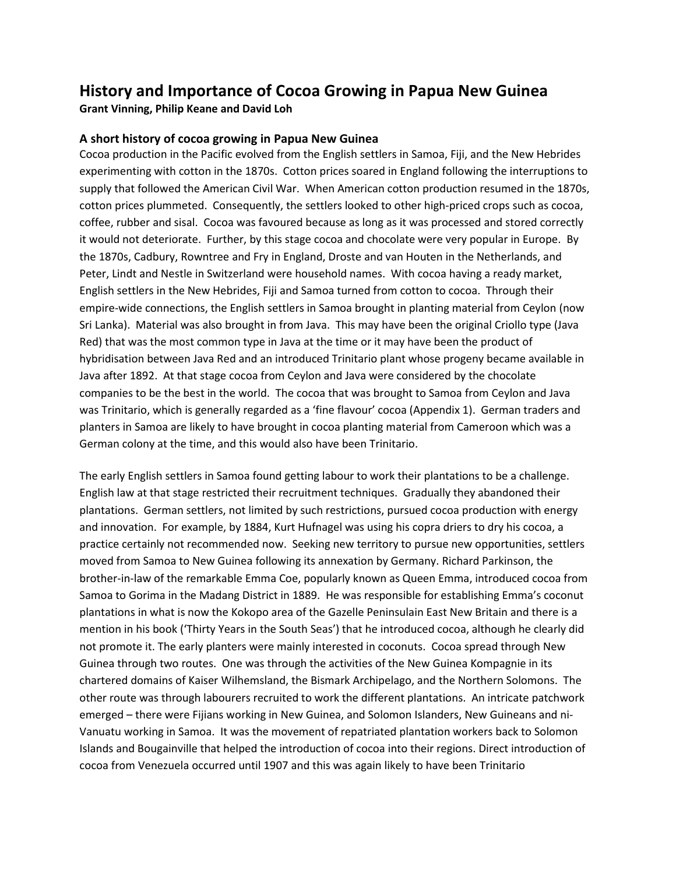## **History and Importance of Cocoa Growing in Papua New Guinea**

**Grant Vinning, Philip Keane and David Loh**

## **A short history of cocoa growing in Papua New Guinea**

Cocoa production in the Pacific evolved from the English settlers in Samoa, Fiji, and the New Hebrides experimenting with cotton in the 1870s. Cotton prices soared in England following the interruptions to supply that followed the American Civil War. When American cotton production resumed in the 1870s, cotton prices plummeted. Consequently, the settlers looked to other high-priced crops such as cocoa, coffee, rubber and sisal. Cocoa was favoured because as long as it was processed and stored correctly it would not deteriorate. Further, by this stage cocoa and chocolate were very popular in Europe. By the 1870s, Cadbury, Rowntree and Fry in England, Droste and van Houten in the Netherlands, and Peter, Lindt and Nestle in Switzerland were household names. With cocoa having a ready market, English settlers in the New Hebrides, Fiji and Samoa turned from cotton to cocoa. Through their empire-wide connections, the English settlers in Samoa brought in planting material from Ceylon (now Sri Lanka). Material was also brought in from Java. This may have been the original Criollo type (Java Red) that was the most common type in Java at the time or it may have been the product of hybridisation between Java Red and an introduced Trinitario plant whose progeny became available in Java after 1892. At that stage cocoa from Ceylon and Java were considered by the chocolate companies to be the best in the world. The cocoa that was brought to Samoa from Ceylon and Java was Trinitario, which is generally regarded as a 'fine flavour' cocoa (Appendix 1). German traders and planters in Samoa are likely to have brought in cocoa planting material from Cameroon which was a German colony at the time, and this would also have been Trinitario.

The early English settlers in Samoa found getting labour to work their plantations to be a challenge. English law at that stage restricted their recruitment techniques. Gradually they abandoned their plantations. German settlers, not limited by such restrictions, pursued cocoa production with energy and innovation. For example, by 1884, Kurt Hufnagel was using his copra driers to dry his cocoa, a practice certainly not recommended now. Seeking new territory to pursue new opportunities, settlers moved from Samoa to New Guinea following its annexation by Germany. Richard Parkinson, the brother-in-law of the remarkable Emma Coe, popularly known as Queen Emma, introduced cocoa from Samoa to Gorima in the Madang District in 1889. He was responsible for establishing Emma's coconut plantations in what is now the Kokopo area of the Gazelle Peninsulain East New Britain and there is a mention in his book ('Thirty Years in the South Seas') that he introduced cocoa, although he clearly did not promote it. The early planters were mainly interested in coconuts. Cocoa spread through New Guinea through two routes. One was through the activities of the New Guinea Kompagnie in its chartered domains of Kaiser Wilhemsland, the Bismark Archipelago, and the Northern Solomons. The other route was through labourers recruited to work the different plantations. An intricate patchwork emerged – there were Fijians working in New Guinea, and Solomon Islanders, New Guineans and ni-Vanuatu working in Samoa. It was the movement of repatriated plantation workers back to Solomon Islands and Bougainville that helped the introduction of cocoa into their regions. Direct introduction of cocoa from Venezuela occurred until 1907 and this was again likely to have been Trinitario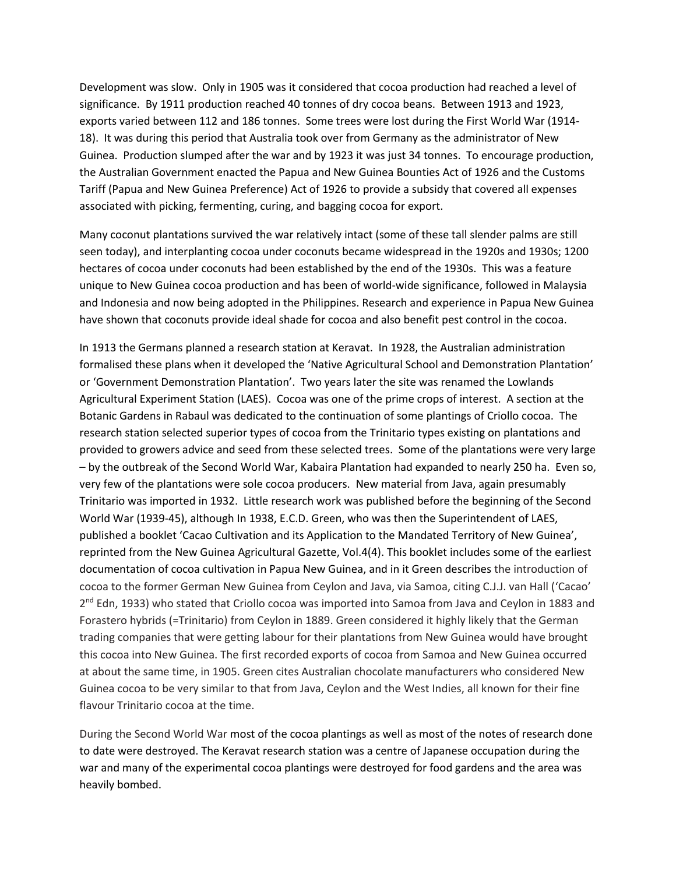Development was slow. Only in 1905 was it considered that cocoa production had reached a level of significance. By 1911 production reached 40 tonnes of dry cocoa beans. Between 1913 and 1923, exports varied between 112 and 186 tonnes. Some trees were lost during the First World War (1914- 18). It was during this period that Australia took over from Germany as the administrator of New Guinea. Production slumped after the war and by 1923 it was just 34 tonnes. To encourage production, the Australian Government enacted the Papua and New Guinea Bounties Act of 1926 and the Customs Tariff (Papua and New Guinea Preference) Act of 1926 to provide a subsidy that covered all expenses associated with picking, fermenting, curing, and bagging cocoa for export.

Many coconut plantations survived the war relatively intact (some of these tall slender palms are still seen today), and interplanting cocoa under coconuts became widespread in the 1920s and 1930s; 1200 hectares of cocoa under coconuts had been established by the end of the 1930s. This was a feature unique to New Guinea cocoa production and has been of world-wide significance, followed in Malaysia and Indonesia and now being adopted in the Philippines. Research and experience in Papua New Guinea have shown that coconuts provide ideal shade for cocoa and also benefit pest control in the cocoa.

In 1913 the Germans planned a research station at Keravat. In 1928, the Australian administration formalised these plans when it developed the 'Native Agricultural School and Demonstration Plantation' or 'Government Demonstration Plantation'. Two years later the site was renamed the Lowlands Agricultural Experiment Station (LAES). Cocoa was one of the prime crops of interest. A section at the Botanic Gardens in Rabaul was dedicated to the continuation of some plantings of Criollo cocoa. The research station selected superior types of cocoa from the Trinitario types existing on plantations and provided to growers advice and seed from these selected trees. Some of the plantations were very large – by the outbreak of the Second World War, Kabaira Plantation had expanded to nearly 250 ha. Even so, very few of the plantations were sole cocoa producers. New material from Java, again presumably Trinitario was imported in 1932. Little research work was published before the beginning of the Second World War (1939-45), although In 1938, E.C.D. Green, who was then the Superintendent of LAES, published a booklet 'Cacao Cultivation and its Application to the Mandated Territory of New Guinea', reprinted from the New Guinea Agricultural Gazette, Vol.4(4). This booklet includes some of the earliest documentation of cocoa cultivation in Papua New Guinea, and in it Green describes the introduction of cocoa to the former German New Guinea from Ceylon and Java, via Samoa, citing C.J.J. van Hall ('Cacao' 2<sup>nd</sup> Edn, 1933) who stated that Criollo cocoa was imported into Samoa from Java and Ceylon in 1883 and Forastero hybrids (=Trinitario) from Ceylon in 1889. Green considered it highly likely that the German trading companies that were getting labour for their plantations from New Guinea would have brought this cocoa into New Guinea. The first recorded exports of cocoa from Samoa and New Guinea occurred at about the same time, in 1905. Green cites Australian chocolate manufacturers who considered New Guinea cocoa to be very similar to that from Java, Ceylon and the West Indies, all known for their fine flavour Trinitario cocoa at the time.

During the Second World War most of the cocoa plantings as well as most of the notes of research done to date were destroyed. The Keravat research station was a centre of Japanese occupation during the war and many of the experimental cocoa plantings were destroyed for food gardens and the area was heavily bombed.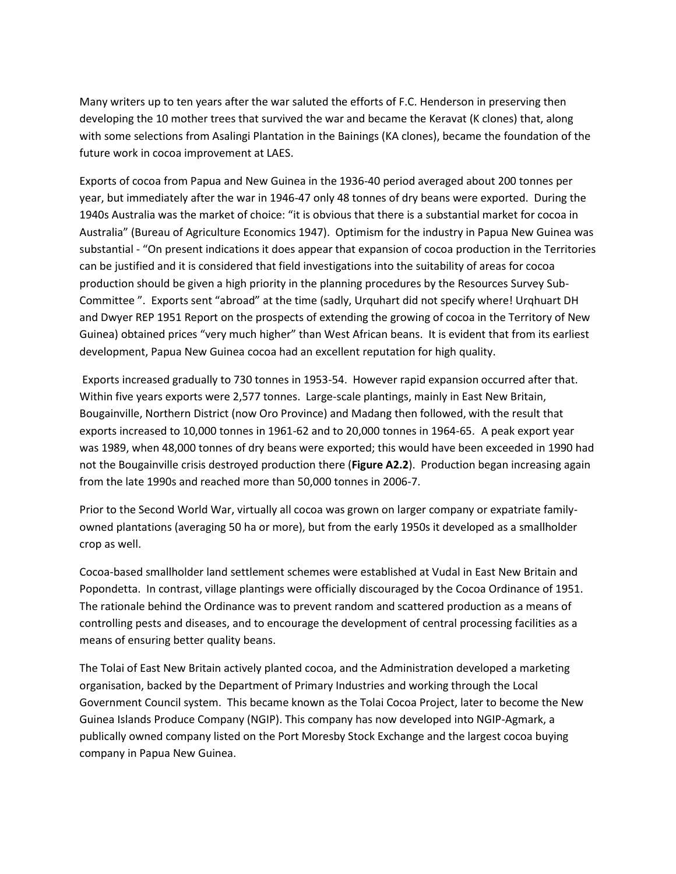Many writers up to ten years after the war saluted the efforts of F.C. Henderson in preserving then developing the 10 mother trees that survived the war and became the Keravat (K clones) that, along with some selections from Asalingi Plantation in the Bainings (KA clones), became the foundation of the future work in cocoa improvement at LAES.

Exports of cocoa from Papua and New Guinea in the 1936-40 period averaged about 200 tonnes per year, but immediately after the war in 1946-47 only 48 tonnes of dry beans were exported. During the 1940s Australia was the market of choice: "it is obvious that there is a substantial market for cocoa in Australia" (Bureau of Agriculture Economics 1947). Optimism for the industry in Papua New Guinea was substantial - "On present indications it does appear that expansion of cocoa production in the Territories can be justified and it is considered that field investigations into the suitability of areas for cocoa production should be given a high priority in the planning procedures by the Resources Survey Sub-Committee ". Exports sent "abroad" at the time (sadly, Urquhart did not specify where! Urqhuart DH and Dwyer REP 1951 Report on the prospects of extending the growing of cocoa in the Territory of New Guinea) obtained prices "very much higher" than West African beans. It is evident that from its earliest development, Papua New Guinea cocoa had an excellent reputation for high quality.

Exports increased gradually to 730 tonnes in 1953-54. However rapid expansion occurred after that. Within five years exports were 2,577 tonnes. Large-scale plantings, mainly in East New Britain, Bougainville, Northern District (now Oro Province) and Madang then followed, with the result that exports increased to 10,000 tonnes in 1961-62 and to 20,000 tonnes in 1964-65. A peak export year was 1989, when 48,000 tonnes of dry beans were exported; this would have been exceeded in 1990 had not the Bougainville crisis destroyed production there (**Figure A2.2**). Production began increasing again from the late 1990s and reached more than 50,000 tonnes in 2006-7.

Prior to the Second World War, virtually all cocoa was grown on larger company or expatriate familyowned plantations (averaging 50 ha or more), but from the early 1950s it developed as a smallholder crop as well.

Cocoa-based smallholder land settlement schemes were established at Vudal in East New Britain and Popondetta. In contrast, village plantings were officially discouraged by the Cocoa Ordinance of 1951. The rationale behind the Ordinance was to prevent random and scattered production as a means of controlling pests and diseases, and to encourage the development of central processing facilities as a means of ensuring better quality beans.

The Tolai of East New Britain actively planted cocoa, and the Administration developed a marketing organisation, backed by the Department of Primary Industries and working through the Local Government Council system. This became known as the Tolai Cocoa Project, later to become the New Guinea Islands Produce Company (NGIP). This company has now developed into NGIP-Agmark, a publically owned company listed on the Port Moresby Stock Exchange and the largest cocoa buying company in Papua New Guinea.